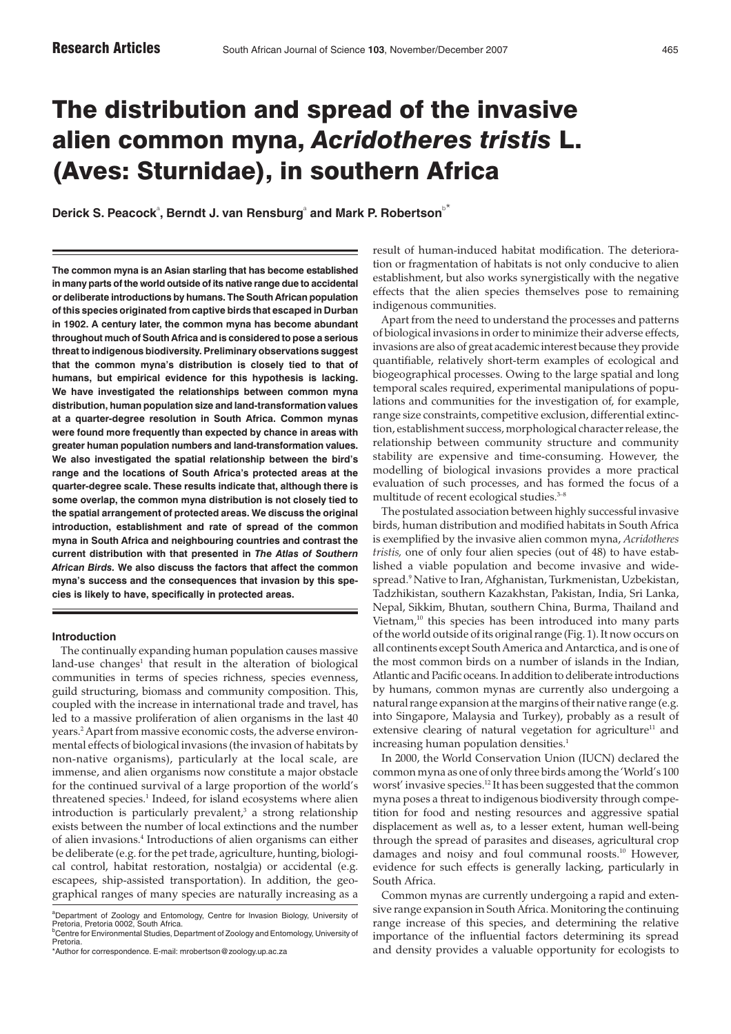# The distribution and spread of the invasive alien common myna, *Acridotheres tristis* L. (Aves: Sturnidae), in southern Africa

 $\mathsf{Derick\ S.}\ \mathsf{Peacock}^{\scriptscriptstyle\mathsf{a}},\ \mathsf{Berndt\ J.}\ \mathsf{van\ Resburg}^{\scriptscriptstyle\mathsf{a}}\ \mathsf{and}\ \mathsf{Mark\ P.}\ \mathsf{Robertson}^{\scriptscriptstyle\mathsf{b}^{\ast}}$ 

**The common myna is an Asian starling that has become established in many parts of the world outside of its native range due to accidental or deliberate introductions by humans. The South African population of this species originated from captive birds that escaped in Durban in 1902. A century later, the common myna has become abundant throughout much of South Africa and is considered to pose a serious threat to indigenous biodiversity. Preliminary observations suggest that the common myna's distribution is closely tied to that of humans, but empirical evidence for this hypothesis is lacking. We have investigated the relationships between common myna distribution, human population size and land-transformation values at a quarter-degree resolution in South Africa. Common mynas were found more frequently than expected by chance in areas with greater human population numbers and land-transformation values. We also investigated the spatial relationship between the bird's range and the locations of South Africa's protected areas at the quarter-degree scale. These results indicate that, although there is some overlap, the common myna distribution is not closely tied to the spatial arrangement of protected areas. We discuss the original introduction, establishment and rate of spread of the common myna in South Africa and neighbouring countries and contrast the current distribution with that presented in** *The Atlas of Southern African Birds.* **We also discuss the factors that affect the common myna's success and the consequences that invasion by this species is likely to have, specifically in protected areas.**

#### **Introduction**

The continually expanding human population causes massive land-use changes<sup>1</sup> that result in the alteration of biological communities in terms of species richness, species evenness, guild structuring, biomass and community composition. This, coupled with the increase in international trade and travel, has led to a massive proliferation of alien organisms in the last 40 years.2 Apart from massive economic costs, the adverse environmental effects of biological invasions (the invasion of habitats by non-native organisms), particularly at the local scale, are immense, and alien organisms now constitute a major obstacle for the continued survival of a large proportion of the world's threatened species.<sup>1</sup> Indeed, for island ecosystems where alien introduction is particularly prevalent, $3$  a strong relationship exists between the number of local extinctions and the number of alien invasions.4 Introductions of alien organisms can either be deliberate (e.g. for the pet trade, agriculture, hunting, biological control, habitat restoration, nostalgia) or accidental (e.g. escapees, ship-assisted transportation). In addition, the geographical ranges of many species are naturally increasing as a result of human-induced habitat modification. The deterioration or fragmentation of habitats is not only conducive to alien establishment, but also works synergistically with the negative effects that the alien species themselves pose to remaining indigenous communities.

Apart from the need to understand the processes and patterns of biological invasions in order to minimize their adverse effects, invasions are also of great academic interest because they provide quantifiable, relatively short-term examples of ecological and biogeographical processes. Owing to the large spatial and long temporal scales required, experimental manipulations of populations and communities for the investigation of, for example, range size constraints, competitive exclusion, differential extinction, establishment success, morphological character release, the relationship between community structure and community stability are expensive and time-consuming. However, the modelling of biological invasions provides a more practical evaluation of such processes, and has formed the focus of a multitude of recent ecological studies.<sup>3-8</sup>

The postulated association between highly successful invasive birds, human distribution and modified habitats in South Africa is exemplified by the invasive alien common myna, *Acridotheres tristis,* one of only four alien species (out of 48) to have established a viable population and become invasive and widespread.9 Native to Iran, Afghanistan, Turkmenistan, Uzbekistan, Tadzhikistan, southern Kazakhstan, Pakistan, India, Sri Lanka, Nepal, Sikkim, Bhutan, southern China, Burma, Thailand and Vietnam, $10$  this species has been introduced into many parts of the world outside of its original range (Fig. 1). It now occurs on all continents except South America and Antarctica, and is one of the most common birds on a number of islands in the Indian, Atlantic and Pacific oceans. In addition to deliberate introductions by humans, common mynas are currently also undergoing a natural range expansion at the margins of their native range (e.g. into Singapore, Malaysia and Turkey), probably as a result of extensive clearing of natural vegetation for agriculture<sup>11</sup> and increasing human population densities.<sup>1</sup>

In 2000, the World Conservation Union (IUCN) declared the common myna as one of only three birds among the 'World's 100 worst' invasive species.<sup>12</sup> It has been suggested that the common myna poses a threat to indigenous biodiversity through competition for food and nesting resources and aggressive spatial displacement as well as, to a lesser extent, human well-being through the spread of parasites and diseases, agricultural crop damages and noisy and foul communal roosts.<sup>10</sup> However, evidence for such effects is generally lacking, particularly in South Africa.

Common mynas are currently undergoing a rapid and extensive range expansion in South Africa. Monitoring the continuing range increase of this species, and determining the relative importance of the influential factors determining its spread and density provides a valuable opportunity for ecologists to

a Department of Zoology and Entomology, Centre for Invasion Biology, University of Pretoria, Pretoria 0002, South Africa.

<sup>&</sup>lt;sup>b</sup>Centre for Environmental Studies, Department of Zoology and Entomology, University of Pretoria.

<sup>\*</sup>Author for correspondence. E-mail: mrobertson@zoology.up.ac.za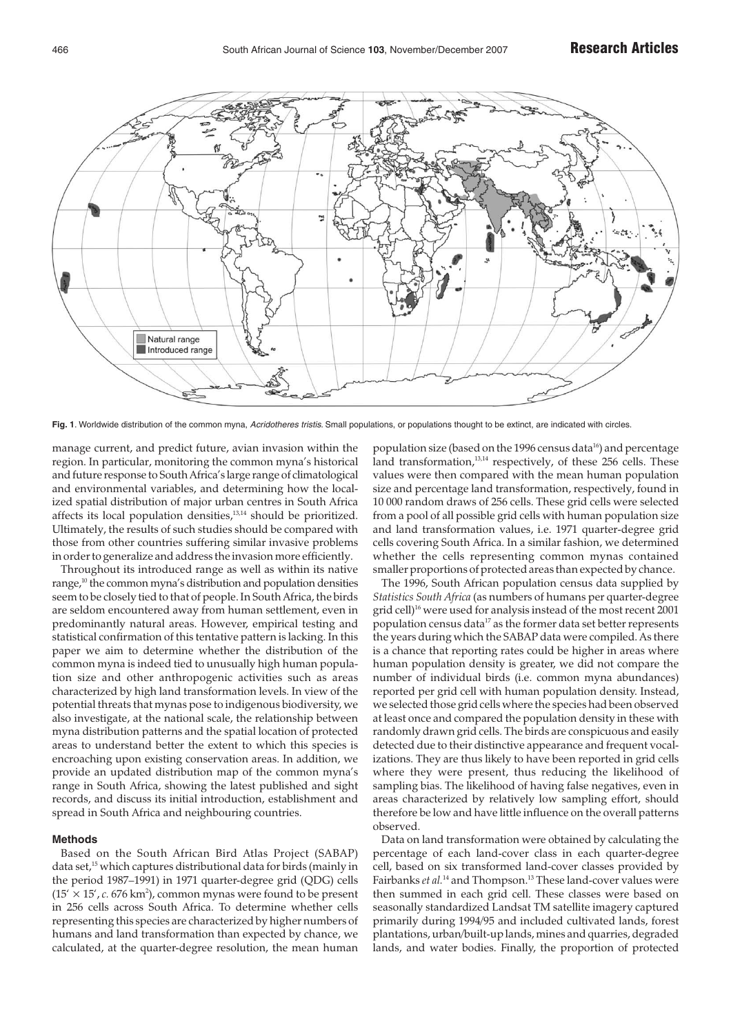

Fig. 1. Worldwide distribution of the common myna, Acridotheres tristis. Small populations, or populations thought to be extinct, are indicated with circles.

manage current, and predict future, avian invasion within the region. In particular, monitoring the common myna's historical and future response to South Africa's large range of climatological and environmental variables, and determining how the localized spatial distribution of major urban centres in South Africa affects its local population densities,13,14 should be prioritized. Ultimately, the results of such studies should be compared with those from other countries suffering similar invasive problems in order to generalize and address the invasion more efficiently.

Throughout its introduced range as well as within its native range,<sup>10</sup> the common myna's distribution and population densities seem to be closely tied to that of people. In South Africa, the birds are seldom encountered away from human settlement, even in predominantly natural areas. However, empirical testing and statistical confirmation of this tentative pattern is lacking. In this paper we aim to determine whether the distribution of the common myna is indeed tied to unusually high human population size and other anthropogenic activities such as areas characterized by high land transformation levels. In view of the potential threats that mynas pose to indigenous biodiversity, we also investigate, at the national scale, the relationship between myna distribution patterns and the spatial location of protected areas to understand better the extent to which this species is encroaching upon existing conservation areas. In addition, we provide an updated distribution map of the common myna's range in South Africa, showing the latest published and sight records, and discuss its initial introduction, establishment and spread in South Africa and neighbouring countries.

#### **Methods**

Based on the South African Bird Atlas Project (SABAP) data set,<sup>15</sup> which captures distributional data for birds (mainly in the period 1987–1991) in 1971 quarter-degree grid (QDG) cells  $(15' \times 15', c. 676 \text{ km}^2)$ , common mynas were found to be present in 256 cells across South Africa. To determine whether cells representing this species are characterized by higher numbers of humans and land transformation than expected by chance, we calculated, at the quarter-degree resolution, the mean human population size (based on the 1996 census data<sup>16</sup>) and percentage land transformation,<sup>13,14</sup> respectively, of these 256 cells. These values were then compared with the mean human population size and percentage land transformation, respectively, found in 10 000 random draws of 256 cells. These grid cells were selected from a pool of all possible grid cells with human population size and land transformation values, i.e. 1971 quarter-degree grid cells covering South Africa. In a similar fashion, we determined whether the cells representing common mynas contained smaller proportions of protected areas than expected by chance.

The 1996, South African population census data supplied by *Statistics South Africa* (as numbers of humans per quarter-degree grid cell)<sup>16</sup> were used for analysis instead of the most recent 2001 population census data<sup>17</sup> as the former data set better represents the years during which the SABAP data were compiled. As there is a chance that reporting rates could be higher in areas where human population density is greater, we did not compare the number of individual birds (i.e. common myna abundances) reported per grid cell with human population density. Instead, we selected those grid cells where the species had been observed at least once and compared the population density in these with randomly drawn grid cells. The birds are conspicuous and easily detected due to their distinctive appearance and frequent vocalizations. They are thus likely to have been reported in grid cells where they were present, thus reducing the likelihood of sampling bias. The likelihood of having false negatives, even in areas characterized by relatively low sampling effort, should therefore be low and have little influence on the overall patterns observed.

Data on land transformation were obtained by calculating the percentage of each land-cover class in each quarter-degree cell, based on six transformed land-cover classes provided by Fairbanks *et al.*<sup>14</sup> and Thompson.<sup>13</sup> These land-cover values were then summed in each grid cell. These classes were based on seasonally standardized Landsat TM satellite imagery captured primarily during 1994/95 and included cultivated lands, forest plantations, urban/built-up lands, mines and quarries, degraded lands, and water bodies. Finally, the proportion of protected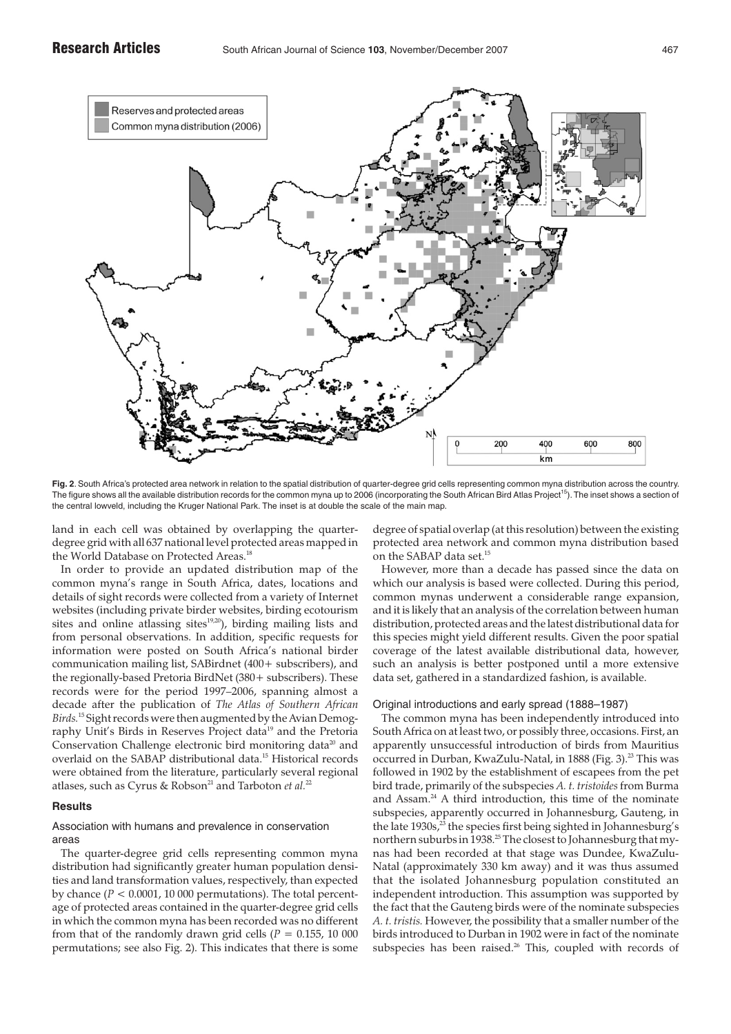

**Fig. 2**. South Africa's protected area network in relation to the spatial distribution of quarter-degree grid cells representing common myna distribution across the country. The figure shows all the available distribution records for the common myna up to 2006 (incorporating the South African Bird Atlas Project<sup>15</sup>). The inset shows a section of the central lowveld, including the Kruger National Park. The inset is at double the scale of the main map.

land in each cell was obtained by overlapping the quarterdegree grid with all 637 national level protected areas mapped in the World Database on Protected Areas.<sup>18</sup>

In order to provide an updated distribution map of the common myna's range in South Africa, dates, locations and details of sight records were collected from a variety of Internet websites (including private birder websites, birding ecotourism sites and online atlassing sites $19,20$ , birding mailing lists and from personal observations. In addition, specific requests for information were posted on South Africa's national birder communication mailing list, SABirdnet (400+ subscribers), and the regionally-based Pretoria BirdNet (380+ subscribers). These records were for the period 1997–2006, spanning almost a decade after the publication of *The Atlas of Southern African Birds.*<sup>15</sup> Sight records were then augmented by the Avian Demography Unit's Birds in Reserves Project data<sup>19</sup> and the Pretoria Conservation Challenge electronic bird monitoring data<sup>20</sup> and overlaid on the SABAP distributional data.15 Historical records were obtained from the literature, particularly several regional atlases, such as Cyrus & Robson<sup>21</sup> and Tarboton *et al.*<sup>22</sup>

#### **Results**

### Association with humans and prevalence in conservation areas

The quarter-degree grid cells representing common myna distribution had significantly greater human population densities and land transformation values, respectively, than expected by chance  $(P < 0.0001, 10000$  permutations). The total percentage of protected areas contained in the quarter-degree grid cells in which the common myna has been recorded was no different from that of the randomly drawn grid cells ( $P = 0.155$ , 10 000 permutations; see also Fig. 2). This indicates that there is some degree of spatial overlap (at this resolution) between the existing protected area network and common myna distribution based on the SABAP data set.<sup>15</sup>

However, more than a decade has passed since the data on which our analysis is based were collected. During this period, common mynas underwent a considerable range expansion, and it is likely that an analysis of the correlation between human distribution, protected areas and the latest distributional data for this species might yield different results. Given the poor spatial coverage of the latest available distributional data, however, such an analysis is better postponed until a more extensive data set, gathered in a standardized fashion, is available.

#### Original introductions and early spread (1888–1987)

The common myna has been independently introduced into South Africa on at least two, or possibly three, occasions. First, an apparently unsuccessful introduction of birds from Mauritius occurred in Durban, KwaZulu-Natal, in 1888 (Fig. 3).<sup>23</sup> This was followed in 1902 by the establishment of escapees from the pet bird trade, primarily of the subspecies *A. t. tristoides* from Burma and Assam.24 A third introduction, this time of the nominate subspecies, apparently occurred in Johannesburg, Gauteng, in the late 1930s,<sup>23</sup> the species first being sighted in Johannesburg's northern suburbs in 1938.<sup>25</sup> The closest to Johannesburg that mynas had been recorded at that stage was Dundee, KwaZulu-Natal (approximately 330 km away) and it was thus assumed that the isolated Johannesburg population constituted an independent introduction. This assumption was supported by the fact that the Gauteng birds were of the nominate subspecies *A. t. tristis.* However, the possibility that a smaller number of the birds introduced to Durban in 1902 were in fact of the nominate subspecies has been raised.<sup>26</sup> This, coupled with records of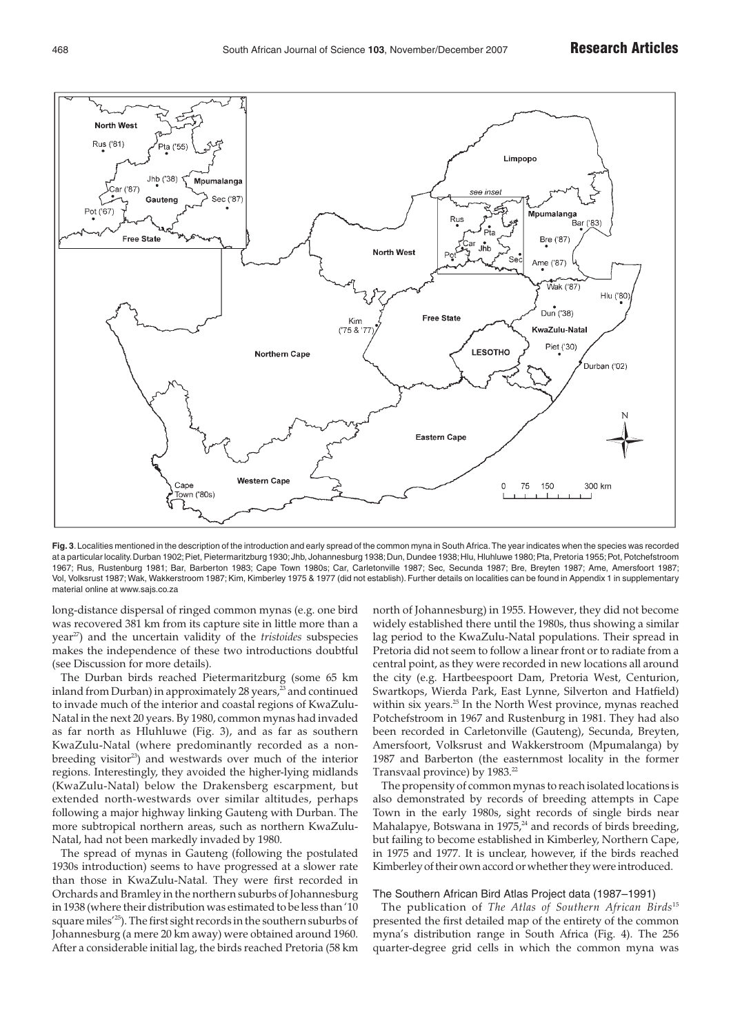

**Fig. 3**.Localities mentioned in the description of the introduction and early spread of the common myna in South Africa.The year indicates when the species was recorded at a particular locality.Durban 1902;Piet, Pietermaritzburg 1930;Jhb, Johannesburg 1938;Dun, Dundee 1938;Hlu, Hluhluwe 1980;Pta, Pretoria 1955;Pot, Potchefstroom 1967; Rus, Rustenburg 1981; Bar, Barberton 1983; Cape Town 1980s; Car, Carletonville 1987; Sec, Secunda 1987; Bre, Breyten 1987; Ame, Amersfoort 1987; Vol, Volksrust 1987; Wak, Wakkerstroom 1987; Kim, Kimberley 1975 & 1977 (did not establish). Further details on localities can be found in Appendix 1 in supplementary material online at www.sajs.co.za

long-distance dispersal of ringed common mynas (e.g. one bird was recovered 381 km from its capture site in little more than a year<sup>27</sup>) and the uncertain validity of the *tristoides* subspecies makes the independence of these two introductions doubtful (see Discussion for more details).

The Durban birds reached Pietermaritzburg (some 65 km inland from Durban) in approximately 28 years, $^{23}$  and continued to invade much of the interior and coastal regions of KwaZulu-Natal in the next 20 years. By 1980, common mynas had invaded as far north as Hluhluwe (Fig. 3), and as far as southern KwaZulu-Natal (where predominantly recorded as a nonbreeding visitor<sup>23</sup>) and westwards over much of the interior regions. Interestingly, they avoided the higher-lying midlands (KwaZulu-Natal) below the Drakensberg escarpment, but extended north-westwards over similar altitudes, perhaps following a major highway linking Gauteng with Durban. The more subtropical northern areas, such as northern KwaZulu-Natal, had not been markedly invaded by 1980.

The spread of mynas in Gauteng (following the postulated 1930s introduction) seems to have progressed at a slower rate than those in KwaZulu-Natal. They were first recorded in Orchards and Bramley in the northern suburbs of Johannesburg in 1938 (where their distribution was estimated to be less than '10 square miles'25). The first sight records in the southern suburbs of Johannesburg (a mere 20 km away) were obtained around 1960. After a considerable initial lag, the birds reached Pretoria (58 km

north of Johannesburg) in 1955. However, they did not become widely established there until the 1980s, thus showing a similar lag period to the KwaZulu-Natal populations. Their spread in Pretoria did not seem to follow a linear front or to radiate from a central point, as they were recorded in new locations all around the city (e.g. Hartbeespoort Dam, Pretoria West, Centurion, Swartkops, Wierda Park, East Lynne, Silverton and Hatfield) within six years.<sup>25</sup> In the North West province, mynas reached Potchefstroom in 1967 and Rustenburg in 1981. They had also been recorded in Carletonville (Gauteng), Secunda, Breyten, Amersfoort, Volksrust and Wakkerstroom (Mpumalanga) by 1987 and Barberton (the easternmost locality in the former Transvaal province) by 1983.<sup>22</sup>

The propensity of common mynas to reach isolated locations is also demonstrated by records of breeding attempts in Cape Town in the early 1980s, sight records of single birds near Mahalapye, Botswana in 1975,<sup>24</sup> and records of birds breeding, but failing to become established in Kimberley, Northern Cape, in 1975 and 1977. It is unclear, however, if the birds reached Kimberley of their own accord or whether they were introduced.

#### The Southern African Bird Atlas Project data (1987–1991)

The publication of *The Atlas of Southern African Birds*<sup>15</sup> presented the first detailed map of the entirety of the common myna's distribution range in South Africa (Fig. 4). The 256 quarter-degree grid cells in which the common myna was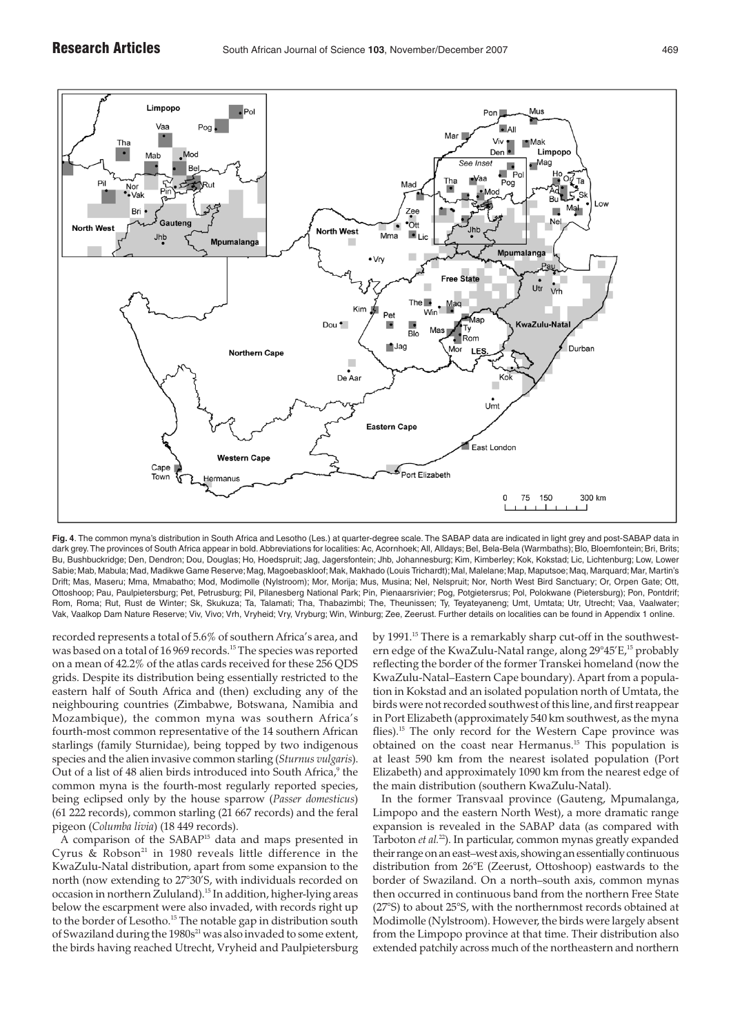

**Fig. 4**. The common myna's distribution in South Africa and Lesotho (Les.) at quarter-degree scale. The SABAP data are indicated in light grey and post-SABAP data in dark grey. The provinces of South Africa appear in bold. Abbreviations for localities: Ac, Acornhoek; All, Alldays; Bel, Bela-Bela (Warmbaths); Blo, Bloemfontein; Bri, Brits; Bu, Bushbuckridge; Den, Dendron; Dou, Douglas; Ho, Hoedspruit; Jag, Jagersfontein; Jhb, Johannesburg; Kim, Kimberley; Kok, Kokstad; Lic, Lichtenburg; Low, Lower Sabie; Mab, Mabula; Mad, Madikwe Game Reserve; Mag, Magoebaskloof; Mak, Makhado (Louis Trichardt); Mal, Malelane; Map, Maputsoe; Maq, Marquard; Mar, Martin's Drift; Mas, Maseru; Mma, Mmabatho; Mod, Modimolle (Nylstroom); Mor, Morija; Mus, Musina; Nel, Nelspruit; Nor, North West Bird Sanctuary; Or, Orpen Gate; Ott, Ottoshoop; Pau, Paulpietersburg; Pet, Petrusburg; Pil, Pilanesberg National Park; Pin, Pienaarsrivier; Pog, Potgietersrus; Pol, Polokwane (Pietersburg); Pon, Pontdrif; Rom, Roma; Rut, Rust de Winter; Sk, Skukuza; Ta, Talamati; Tha, Thabazimbi; The, Theunissen; Ty, Teyateyaneng; Umt, Umtata; Utr, Utrecht; Vaa, Vaalwater; Vak, Vaalkop Dam Nature Reserve; Viv, Vivo; Vrh, Vryheid; Vry, Vryburg; Win, Winburg; Zee, Zeerust. Further details on localities can be found in Appendix 1 online.

recorded represents a total of 5.6% of southern Africa's area, and was based on a total of 16 969 records.<sup>15</sup> The species was reported on a mean of 42.2% of the atlas cards received for these 256 QDS grids. Despite its distribution being essentially restricted to the eastern half of South Africa and (then) excluding any of the neighbouring countries (Zimbabwe, Botswana, Namibia and Mozambique), the common myna was southern Africa's fourth-most common representative of the 14 southern African starlings (family Sturnidae), being topped by two indigenous species and the alien invasive common starling (*Sturnus vulgaris*). Out of a list of 48 alien birds introduced into South Africa,<sup>9</sup> the common myna is the fourth-most regularly reported species, being eclipsed only by the house sparrow (*Passer domesticus*) (61 222 records), common starling (21 667 records) and the feral pigeon (*Columba livia*) (18 449 records).

A comparison of the SABAP15 data and maps presented in Cyrus  $\&$  Robson<sup>21</sup> in 1980 reveals little difference in the KwaZulu-Natal distribution, apart from some expansion to the north (now extending to 27°30'S, with individuals recorded on occasion in northern Zululand).15 In addition, higher-lying areas below the escarpment were also invaded, with records right up to the border of Lesotho.<sup>15</sup> The notable gap in distribution south of Swaziland during the  $1980s^{21}$  was also invaded to some extent, the birds having reached Utrecht, Vryheid and Paulpietersburg by 1991.15 There is a remarkably sharp cut-off in the southwestern edge of the KwaZulu-Natal range, along 29°45'E,<sup>15</sup> probably reflecting the border of the former Transkei homeland (now the KwaZulu-Natal–Eastern Cape boundary). Apart from a population in Kokstad and an isolated population north of Umtata, the birds were not recorded southwest of this line, and first reappear in Port Elizabeth (approximately 540 km southwest, as the myna flies).<sup>15</sup> The only record for the Western Cape province was obtained on the coast near Hermanus.<sup>15</sup> This population is at least 590 km from the nearest isolated population (Port Elizabeth) and approximately 1090 km from the nearest edge of the main distribution (southern KwaZulu-Natal).

In the former Transvaal province (Gauteng, Mpumalanga, Limpopo and the eastern North West), a more dramatic range expansion is revealed in the SABAP data (as compared with Tarboton *et al.*<sup>22</sup>). In particular, common mynas greatly expanded their range on an east–west axis, showing an essentially continuous distribution from 26°E (Zeerust, Ottoshoop) eastwards to the border of Swaziland. On a north–south axis, common mynas then occurred in continuous band from the northern Free State (27°S) to about 25°S, with the northernmost records obtained at Modimolle (Nylstroom). However, the birds were largely absent from the Limpopo province at that time. Their distribution also extended patchily across much of the northeastern and northern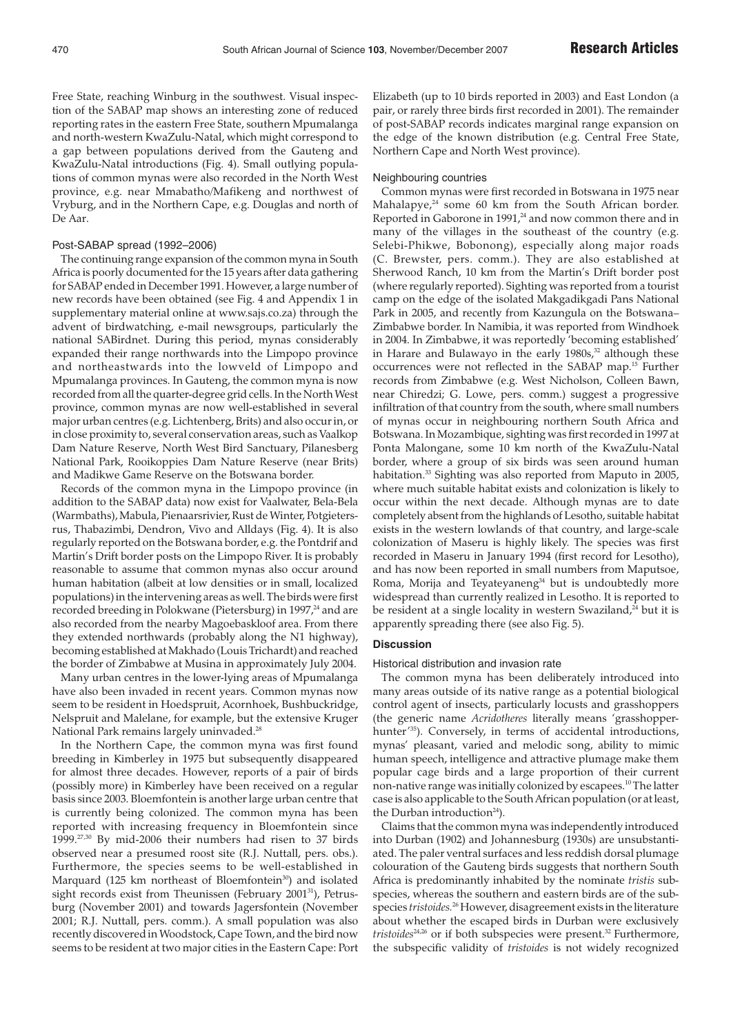Free State, reaching Winburg in the southwest. Visual inspection of the SABAP map shows an interesting zone of reduced reporting rates in the eastern Free State, southern Mpumalanga and north-western KwaZulu-Natal, which might correspond to a gap between populations derived from the Gauteng and KwaZulu-Natal introductions (Fig. 4). Small outlying populations of common mynas were also recorded in the North West province, e.g. near Mmabatho/Mafikeng and northwest of Vryburg, and in the Northern Cape, e.g. Douglas and north of De Aar.

#### Post-SABAP spread (1992–2006)

The continuing range expansion of the common myna in South Africa is poorly documented for the 15 years after data gathering for SABAP ended in December 1991. However, a large number of new records have been obtained (see Fig. 4 and Appendix 1 in supplementary material online at www.sajs.co.za) through the advent of birdwatching, e-mail newsgroups, particularly the national SABirdnet. During this period, mynas considerably expanded their range northwards into the Limpopo province and northeastwards into the lowveld of Limpopo and Mpumalanga provinces. In Gauteng, the common myna is now recorded from all the quarter-degree grid cells. In the North West province, common mynas are now well-established in several major urban centres (e.g. Lichtenberg, Brits) and also occur in, or in close proximity to, several conservation areas, such as Vaalkop Dam Nature Reserve, North West Bird Sanctuary, Pilanesberg National Park, Rooikoppies Dam Nature Reserve (near Brits) and Madikwe Game Reserve on the Botswana border.

Records of the common myna in the Limpopo province (in addition to the SABAP data) now exist for Vaalwater, Bela-Bela (Warmbaths), Mabula, Pienaarsrivier, Rust de Winter, Potgietersrus, Thabazimbi, Dendron, Vivo and Alldays (Fig. 4). It is also regularly reported on the Botswana border, e.g. the Pontdrif and Martin's Drift border posts on the Limpopo River. It is probably reasonable to assume that common mynas also occur around human habitation (albeit at low densities or in small, localized populations) in the intervening areas as well. The birds were first recorded breeding in Polokwane (Pietersburg) in 1997,<sup>24</sup> and are also recorded from the nearby Magoebaskloof area. From there they extended northwards (probably along the N1 highway), becoming established at Makhado (Louis Trichardt) and reached the border of Zimbabwe at Musina in approximately July 2004.

Many urban centres in the lower-lying areas of Mpumalanga have also been invaded in recent years. Common mynas now seem to be resident in Hoedspruit, Acornhoek, Bushbuckridge, Nelspruit and Malelane, for example, but the extensive Kruger National Park remains largely uninvaded.<sup>28</sup>

In the Northern Cape, the common myna was first found breeding in Kimberley in 1975 but subsequently disappeared for almost three decades. However, reports of a pair of birds (possibly more) in Kimberley have been received on a regular basis since 2003. Bloemfontein is another large urban centre that is currently being colonized. The common myna has been reported with increasing frequency in Bloemfontein since 1999.27,30 By mid-2006 their numbers had risen to 37 birds observed near a presumed roost site (R.J. Nuttall, pers. obs.). Furthermore, the species seems to be well-established in Marquard (125 km northeast of Bloemfontein<sup>30</sup>) and isolated sight records exist from Theunissen (February 2001<sup>31</sup>), Petrusburg (November 2001) and towards Jagersfontein (November 2001; R.J. Nuttall, pers. comm.). A small population was also recently discovered in Woodstock, Cape Town, and the bird now seems to be resident at two major cities in the Eastern Cape: Port Elizabeth (up to 10 birds reported in 2003) and East London (a pair, or rarely three birds first recorded in 2001). The remainder of post-SABAP records indicates marginal range expansion on the edge of the known distribution (e.g. Central Free State, Northern Cape and North West province).

#### Neighbouring countries

Common mynas were first recorded in Botswana in 1975 near Mahalapye,<sup>24</sup> some 60 km from the South African border. Reported in Gaborone in 1991,<sup>24</sup> and now common there and in many of the villages in the southeast of the country (e.g. Selebi-Phikwe, Bobonong), especially along major roads (C. Brewster, pers. comm.). They are also established at Sherwood Ranch, 10 km from the Martin's Drift border post (where regularly reported). Sighting was reported from a tourist camp on the edge of the isolated Makgadikgadi Pans National Park in 2005, and recently from Kazungula on the Botswana– Zimbabwe border. In Namibia, it was reported from Windhoek in 2004. In Zimbabwe, it was reportedly 'becoming established' in Harare and Bulawayo in the early 1980s,<sup>32</sup> although these occurrences were not reflected in the SABAP map.15 Further records from Zimbabwe (e.g. West Nicholson, Colleen Bawn, near Chiredzi; G. Lowe, pers. comm.) suggest a progressive infiltration of that country from the south, where small numbers of mynas occur in neighbouring northern South Africa and Botswana. In Mozambique, sighting was first recorded in 1997 at Ponta Malongane, some 10 km north of the KwaZulu-Natal border, where a group of six birds was seen around human habitation.<sup>33</sup> Sighting was also reported from Maputo in 2005, where much suitable habitat exists and colonization is likely to occur within the next decade. Although mynas are to date completely absent from the highlands of Lesotho, suitable habitat exists in the western lowlands of that country, and large-scale colonization of Maseru is highly likely. The species was first recorded in Maseru in January 1994 (first record for Lesotho), and has now been reported in small numbers from Maputsoe, Roma, Morija and Teyateyaneng<sup>34</sup> but is undoubtedly more widespread than currently realized in Lesotho. It is reported to be resident at a single locality in western Swaziland, $24$  but it is apparently spreading there (see also Fig. 5).

### **Discussion**

#### Historical distribution and invasion rate

The common myna has been deliberately introduced into many areas outside of its native range as a potential biological control agent of insects, particularly locusts and grasshoppers (the generic name *Acridotheres* literally means 'grasshopperhunter<sup>'35</sup>). Conversely, in terms of accidental introductions, mynas' pleasant, varied and melodic song, ability to mimic human speech, intelligence and attractive plumage make them popular cage birds and a large proportion of their current non-native range was initially colonized by escapees.10 The latter case is also applicable to the South African population (or at least, the Durban introduction $24$ ).

Claims that the common myna was independently introduced into Durban (1902) and Johannesburg (1930s) are unsubstantiated. The paler ventral surfaces and less reddish dorsal plumage colouration of the Gauteng birds suggests that northern South Africa is predominantly inhabited by the nominate *tristis* subspecies, whereas the southern and eastern birds are of the subspecies *tristoides.*<sup>26</sup> However, disagreement exists in the literature about whether the escaped birds in Durban were exclusively tristoides<sup>24,26</sup> or if both subspecies were present.<sup>32</sup> Furthermore, the subspecific validity of *tristoides* is not widely recognized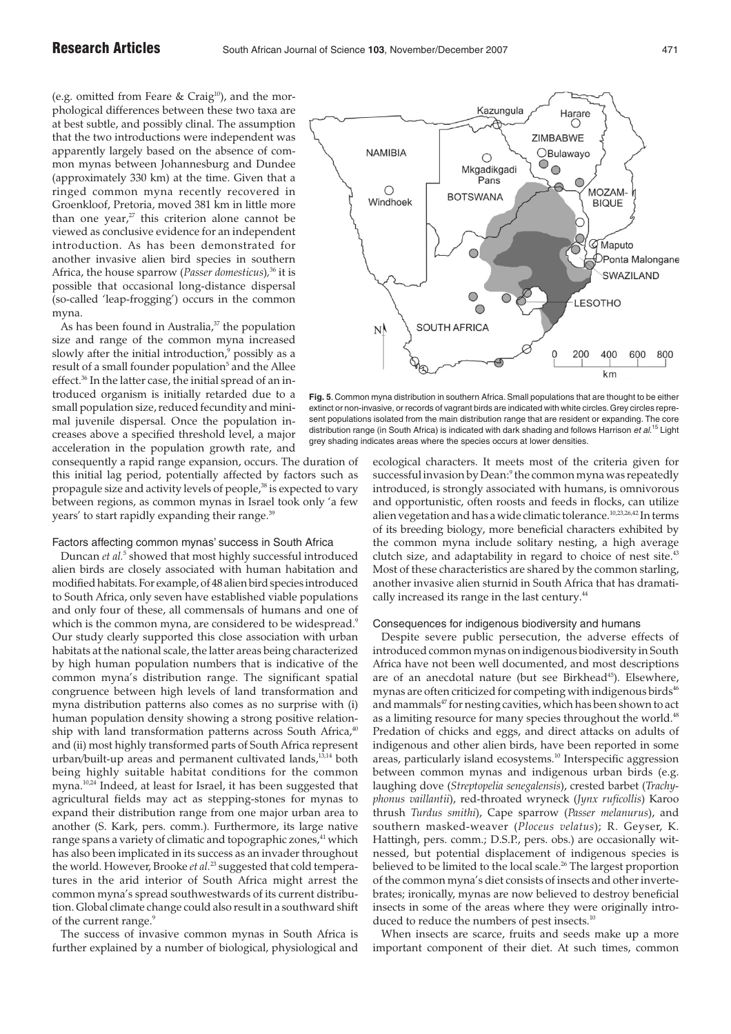(e.g. omitted from Feare & Craig $10$ ), and the morphological differences between these two taxa are at best subtle, and possibly clinal. The assumption that the two introductions were independent was apparently largely based on the absence of common mynas between Johannesburg and Dundee (approximately 330 km) at the time. Given that a ringed common myna recently recovered in Groenkloof, Pretoria, moved 381 km in little more than one year, $27$  this criterion alone cannot be viewed as conclusive evidence for an independent introduction. As has been demonstrated for another invasive alien bird species in southern Africa, the house sparrow (*Passer domesticus*)*,* <sup>36</sup> it is possible that occasional long-distance dispersal (so-called 'leap-frogging') occurs in the common myna.

As has been found in Australia,<sup>37</sup> the population size and range of the common myna increased slowly after the initial introduction, $9$  possibly as a result of a small founder population<sup>5</sup> and the Allee effect.<sup>36</sup> In the latter case, the initial spread of an introduced organism is initially retarded due to a small population size, reduced fecundity and minimal juvenile dispersal. Once the population increases above a specified threshold level, a major acceleration in the population growth rate, and

consequently a rapid range expansion, occurs. The duration of this initial lag period, potentially affected by factors such as propagule size and activity levels of people,<sup>38</sup> is expected to vary between regions, as common mynas in Israel took only 'a few years' to start rapidly expanding their range.<sup>39</sup>

Factors affecting common mynas' success in South Africa

Duncan *et al.*<sup>5</sup> showed that most highly successful introduced alien birds are closely associated with human habitation and modified habitats. For example, of 48 alien bird species introduced to South Africa, only seven have established viable populations and only four of these, all commensals of humans and one of which is the common myna, are considered to be widespread.<sup>9</sup> Our study clearly supported this close association with urban habitats at the national scale, the latter areas being characterized by high human population numbers that is indicative of the common myna's distribution range. The significant spatial congruence between high levels of land transformation and myna distribution patterns also comes as no surprise with (i) human population density showing a strong positive relationship with land transformation patterns across South Africa,<sup>40</sup> and (ii) most highly transformed parts of South Africa represent urban/built-up areas and permanent cultivated lands,<sup>13,14</sup> both being highly suitable habitat conditions for the common myna.10,24 Indeed, at least for Israel, it has been suggested that agricultural fields may act as stepping-stones for mynas to expand their distribution range from one major urban area to another (S. Kark, pers. comm.). Furthermore, its large native range spans a variety of climatic and topographic zones,<sup>41</sup> which has also been implicated in its success as an invader throughout the world. However, Brooke *et al.*<sup>23</sup> suggested that cold temperatures in the arid interior of South Africa might arrest the common myna's spread southwestwards of its current distribution. Global climate change could also result in a southward shift of the current range.<sup>9</sup>

The success of invasive common mynas in South Africa is further explained by a number of biological, physiological and



**Fig. 5**. Common myna distribution in southern Africa. Small populations that are thought to be either extinct or non-invasive, or records of vagrant birds are indicated with white circles.Grey circles represent populations isolated from the main distribution range that are resident or expanding. The core distribution range (in South Africa) is indicated with dark shading and follows Harrison et  $al$ .<sup>15</sup> Light grey shading indicates areas where the species occurs at lower densities.

ecological characters. It meets most of the criteria given for successful invasion by Dean:<sup>9</sup> the common myna was repeatedly introduced, is strongly associated with humans, is omnivorous and opportunistic, often roosts and feeds in flocks, can utilize alien vegetation and has a wide climatic tolerance.<sup>10,23,26,42</sup> In terms of its breeding biology, more beneficial characters exhibited by the common myna include solitary nesting, a high average clutch size, and adaptability in regard to choice of nest site.<sup>43</sup> Most of these characteristics are shared by the common starling, another invasive alien sturnid in South Africa that has dramatically increased its range in the last century.<sup>44</sup>

#### Consequences for indigenous biodiversity and humans

Despite severe public persecution, the adverse effects of introduced common mynas on indigenous biodiversity in South Africa have not been well documented, and most descriptions are of an anecdotal nature (but see Birkhead<sup>45</sup>). Elsewhere, mynas are often criticized for competing with indigenous birds<sup>46</sup> and mammals<sup>47</sup> for nesting cavities, which has been shown to act as a limiting resource for many species throughout the world.<sup>48</sup> Predation of chicks and eggs, and direct attacks on adults of indigenous and other alien birds, have been reported in some areas, particularly island ecosystems.<sup>10</sup> Interspecific aggression between common mynas and indigenous urban birds (e.g. laughing dove (*Streptopelia senegalensis*), crested barbet (*Trachyphonus vaillantii*), red-throated wryneck (*Jynx ruficollis*) Karoo thrush *Turdus smithi*), Cape sparrow (*Passer melanurus*), and southern masked-weaver (*Ploceus velatus*); R. Geyser, K. Hattingh, pers. comm.; D.S.P., pers. obs.) are occasionally witnessed, but potential displacement of indigenous species is believed to be limited to the local scale.<sup>26</sup> The largest proportion of the common myna's diet consists of insects and other invertebrates; ironically, mynas are now believed to destroy beneficial insects in some of the areas where they were originally introduced to reduce the numbers of pest insects.<sup>10</sup>

When insects are scarce, fruits and seeds make up a more important component of their diet. At such times, common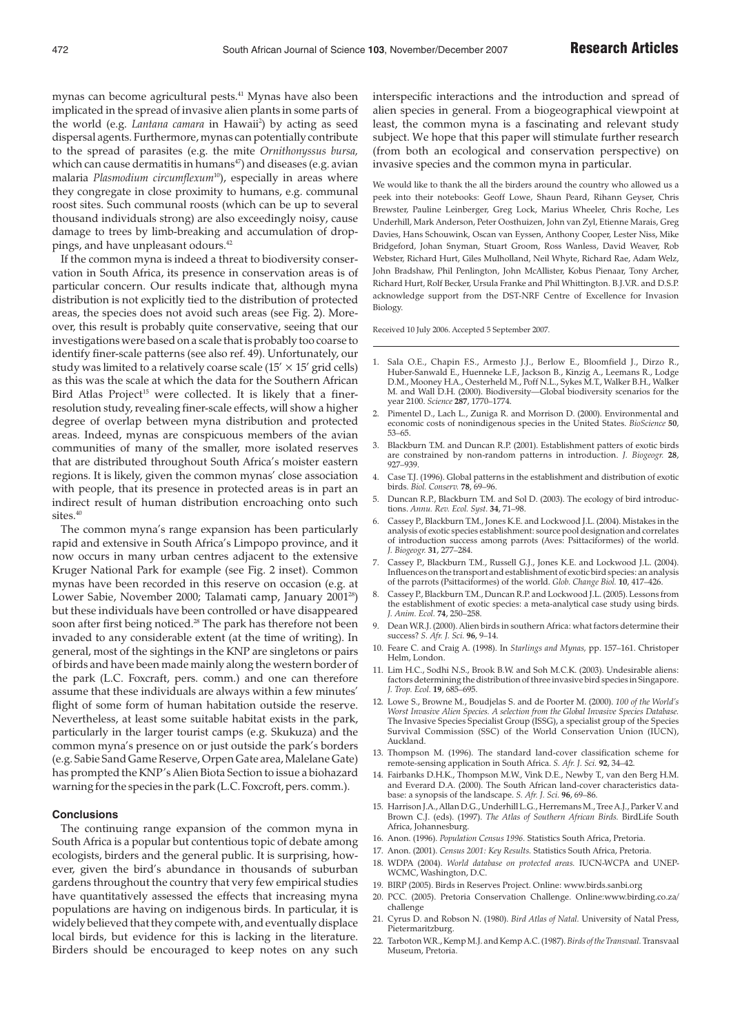mynas can become agricultural pests.<sup>41</sup> Mynas have also been implicated in the spread of invasive alien plants in some parts of the world (e.g. *Lantana camara* in Hawaii<sup>2</sup>) by acting as seed dispersal agents. Furthermore, mynas can potentially contribute to the spread of parasites (e.g. the mite *Ornithonyssus bursa,* which can cause dermatitis in humans $47$ ) and diseases (e.g. avian malaria *Plasmodium circumflexum*10), especially in areas where they congregate in close proximity to humans, e.g. communal roost sites. Such communal roosts (which can be up to several thousand individuals strong) are also exceedingly noisy, cause damage to trees by limb-breaking and accumulation of droppings, and have unpleasant odours.<sup>42</sup>

If the common myna is indeed a threat to biodiversity conservation in South Africa, its presence in conservation areas is of particular concern. Our results indicate that, although myna distribution is not explicitly tied to the distribution of protected areas, the species does not avoid such areas (see Fig. 2). Moreover, this result is probably quite conservative, seeing that our investigations were based on a scale that is probably too coarse to identify finer-scale patterns (see also ref. 49). Unfortunately, our study was limited to a relatively coarse scale  $(15' \times 15'$  grid cells) as this was the scale at which the data for the Southern African Bird Atlas Project<sup>15</sup> were collected. It is likely that a finerresolution study, revealing finer-scale effects, will show a higher degree of overlap between myna distribution and protected areas. Indeed, mynas are conspicuous members of the avian communities of many of the smaller, more isolated reserves that are distributed throughout South Africa's moister eastern regions. It is likely, given the common mynas' close association with people, that its presence in protected areas is in part an indirect result of human distribution encroaching onto such sites.<sup>40</sup>

The common myna's range expansion has been particularly rapid and extensive in South Africa's Limpopo province, and it now occurs in many urban centres adjacent to the extensive Kruger National Park for example (see Fig. 2 inset). Common mynas have been recorded in this reserve on occasion (e.g. at Lower Sabie, November 2000; Talamati camp, January 2001<sup>28</sup>) but these individuals have been controlled or have disappeared soon after first being noticed.<sup>28</sup> The park has therefore not been invaded to any considerable extent (at the time of writing). In general, most of the sightings in the KNP are singletons or pairs of birds and have been made mainly along the western border of the park (L.C. Foxcraft, pers. comm.) and one can therefore assume that these individuals are always within a few minutes' flight of some form of human habitation outside the reserve. Nevertheless, at least some suitable habitat exists in the park, particularly in the larger tourist camps (e.g. Skukuza) and the common myna's presence on or just outside the park's borders (e.g. Sabie Sand Game Reserve, Orpen Gate area, Malelane Gate) has prompted the KNP's Alien Biota Section to issue a biohazard warning for the species in the park (L.C. Foxcroft, pers. comm.).

#### **Conclusions**

The continuing range expansion of the common myna in South Africa is a popular but contentious topic of debate among ecologists, birders and the general public. It is surprising, however, given the bird's abundance in thousands of suburban gardens throughout the country that very few empirical studies have quantitatively assessed the effects that increasing myna populations are having on indigenous birds. In particular, it is widely believed that they compete with, and eventually displace local birds, but evidence for this is lacking in the literature. Birders should be encouraged to keep notes on any such

interspecific interactions and the introduction and spread of alien species in general. From a biogeographical viewpoint at least, the common myna is a fascinating and relevant study subject. We hope that this paper will stimulate further research (from both an ecological and conservation perspective) on invasive species and the common myna in particular.

We would like to thank the all the birders around the country who allowed us a peek into their notebooks: Geoff Lowe, Shaun Peard, Rihann Geyser, Chris Brewster, Pauline Leinberger, Greg Lock, Marius Wheeler, Chris Roche, Les Underhill, Mark Anderson, Peter Oosthuizen, John van Zyl, Etienne Marais, Greg Davies, Hans Schouwink, Oscan van Eyssen, Anthony Cooper, Lester Niss, Mike Bridgeford, Johan Snyman, Stuart Groom, Ross Wanless, David Weaver, Rob Webster, Richard Hurt, Giles Mulholland, Neil Whyte, Richard Rae, Adam Welz, John Bradshaw, Phil Penlington, John McAllister, Kobus Pienaar, Tony Archer, Richard Hurt, Rolf Becker, Ursula Franke and Phil Whittington. B.J.V.R. and D.S.P. acknowledge support from the DST-NRF Centre of Excellence for Invasion Biology.

Received 10 July 2006. Accepted 5 September 2007.

- 1. Sala O.E., Chapin F.S., Armesto J.J., Berlow E., Bloomfield J., Dirzo R., Huber-Sanwald E., Huenneke L.F., Jackson B., Kinzig A., Leemans R., Lodge D.M., Mooney H.A., Oesterheld M., Poff N.L., Sykes M.T., Walker B.H., Walker M. and Wall D.H. (2000). Biodiversity—Global biodiversity scenarios for the year 2100. *Science* **287**, 1770–1774.
- 2. Pimentel D., Lach L., Zuniga R. and Morrison D. (2000). Environmental and economic costs of nonindigenous species in the United States. *BioScience* **50**, 53–65.
- 3. Blackburn T.M. and Duncan R.P. (2001). Establishment patters of exotic birds are constrained by non-random patterns in introduction. *J. Biogeogr.* **28**, 927–939.
- 4. Case T.J. (1996). Global patterns in the establishment and distribution of exotic birds. *Biol. Conserv.* **78**, 69–96.
- 5. Duncan R.P., Blackburn T.M. and Sol D. (2003). The ecology of bird introductions. *Annu. Rev. Ecol. Syst.* **34**, 71–98.
- 6. Cassey P., Blackburn T.M., Jones K.E. and Lockwood J.L. (2004). Mistakes in the analysis of exotic species establishment: source pool designation and correlates of introduction success among parrots (Aves: Psittaciformes) of the world. *J. Biogeogr.* **31**, 277–284.
- 7. Cassey P., Blackburn T.M., Russell G.J., Jones K.E. and Lockwood J.L. (2004). Influences on the transport and establishment of exotic bird species: an analysis of the parrots (Psittaciformes) of the world. *Glob. Change Biol.* **10**, 417–426.
- 8. Cassey P., Blackburn T.M., Duncan R.P. and Lockwood J.L. (2005). Lessons from the establishment of exotic species: a meta-analytical case study using birds. *J. Anim. Ecol.* **74**, 250–258.
- 9. Dean W.R.J. (2000). Alien birds in southern Africa: what factors determine their success? *S. Afr. J. Sci.* **96**, 9–14.
- 10. Feare C. and Craig A. (1998). In *Starlings and Mynas,* pp. 157–161. Christoper Helm, London.
- 11. Lim H.C., Sodhi N.S., Brook B.W. and Soh M.C.K. (2003). Undesirable aliens: factors determining the distribution of three invasive bird species in Singapore. *J. Trop. Ecol.* **19**, 685–695.
- 12. Lowe S., Browne M., Boudjelas S. and de Poorter M. (2000). *100 of the World's Worst Invasive Alien Species. A selection from the Global Invasive Species Database.* The Invasive Species Specialist Group (ISSG), a specialist group of the Species Survival Commission (SSC) of the World Conservation Union (IUCN), Auckland.
- 13. Thompson M. (1996). The standard land-cover classification scheme for remote-sensing application in South Africa. *S. Afr. J. Sci.* **92**, 34–42.
- 14. Fairbanks D.H.K., Thompson M.W., Vink D.E., Newby T., van den Berg H.M. and Everard D.A. (2000). The South African land-cover characteristics database: a synopsis of the landscape. *S. Afr. J. Sci.* **96**, 69–86.
- 15. Harrison J.A., Allan D.G., Underhill L.G., Herremans M., Tree A.J., Parker V. and Brown C.J. (eds). (1997). *The Atlas of Southern African Birds.* BirdLife South Africa, Johannesburg.
- 16. Anon. (1996). *Population Census 1996.* Statistics South Africa, Pretoria.
- 17. Anon. (2001). *Census 2001: Key Results.* Statistics South Africa, Pretoria.
- 18. WDPA (2004). *World database on protected areas.* IUCN-WCPA and UNEP-WCMC, Washington, D.C.
- 19. BIRP (2005). Birds in Reserves Project. Online: www.birds.sanbi.org
- 20. PCC. (2005). Pretoria Conservation Challenge. Online:www.birding.co.za/ challenge
- 21. Cyrus D. and Robson N. (1980). *Bird Atlas of Natal.* University of Natal Press, Pietermaritzburg.
- 22. Tarboton W.R., Kemp M.J. and Kemp A.C. (1987). *Birds of the Transvaal.*Transvaal Museum, Pretoria.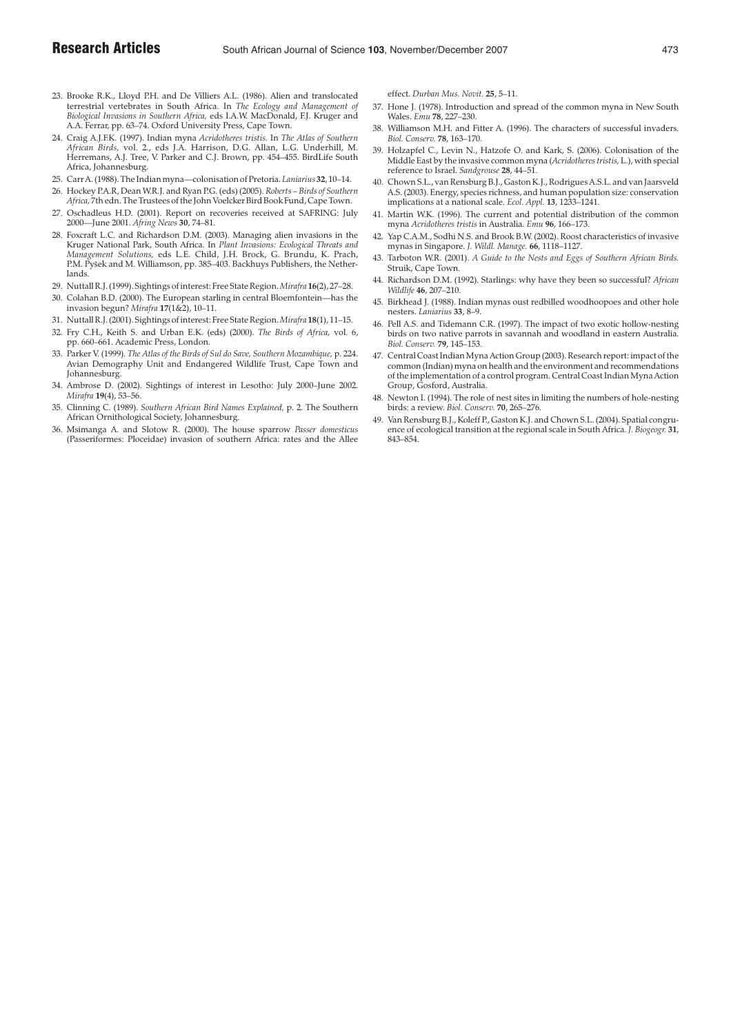- 23. Brooke R.K., Lloyd P.H. and De Villiers A.L. (1986). Alien and translocated terrestrial vertebrates in South Africa. In *The Ecology and Management of Biological Invasions in Southern Africa,* eds I.A.W. MacDonald, F.J. Kruger and A.A. Ferrar, pp. 63–74. Oxford University Press, Cape Town.
- 24. Craig A.J.F.K. (1997). Indian myna *Acridotheres tristis.* In *The Atlas of Southern African Birds,* vol. 2., eds J.A. Harrison, D.G. Allan, L.G. Underhill, M. Herremans, A.J. Tree, V. Parker and C.J. Brown, pp. 454–455. BirdLife South Africa, Johannesburg.
- 25. Carr A. (1988). The Indian myna—colonisation of Pretoria. *Laniarius* **32**, 10–14.
- 26. Hockey P.A.R, Dean W.R.J. and Ryan P.G. (eds) (2005). *Roberts Birds of Southern Africa,* 7th edn. The Trustees of the John Voelcker Bird Book Fund, Cape Town.
- 27. Oschadleus H.D. (2001). Report on recoveries received at SAFRING: July 2000—June 2001. *Afring News* **30**, 74–81.
- 28. Foxcraft L.C. and Richardson D.M. (2003). Managing alien invasions in the Kruger National Park, South Africa. In *Plant Invasions: Ecological Threats and Management Solutions,* eds L.E. Child, J.H. Brock, G. Brundu, K. Prach, P.M. Pyšek and M. Williamson, pp. 385-403. Backhuys Publishers, the Netherlands.
- 29. Nuttall R.J. (1999). Sightings of interest: Free State Region.*Mirafra* **16**(2), 27–28.
- 30. Colahan B.D. (2000). The European starling in central Bloemfontein—has the invasion begun? *Mirafra* **17**(1&2), 10–11.
- 31. Nuttall R.J. (2001). Sightings of interest: Free State Region.*Mirafra* **18**(1), 11–15. 32. Fry C.H., Keith S. and Urban E.K. (eds) (2000). *The Birds of Africa,* vol. 6,
- pp. 660–661. Academic Press, London. 33. Parker V. (1999). *The Atlas of the Birds of Sul do Save, Southern Mozambique,* p. 224.
- Avian Demography Unit and Endangered Wildlife Trust, Cape Town and Johannesburg.
- 34. Ambrose D. (2002). Sightings of interest in Lesotho: July 2000–June 2002. *Mirafra* **19**(4), 53–56.
- 35. Clinning C. (1989). *Southern African Bird Names Explained,* p. 2. The Southern African Ornithological Society, Johannesburg.
- 36. Msimanga A. and Slotow R. (2000). The house sparrow *Passer domesticus* (Passeriformes: Ploceidae) invasion of southern Africa: rates and the Allee

effect. *Durban Mus. Novit.* **25**, 5–11.

- 37. Hone J. (1978). Introduction and spread of the common myna in New South Wales. *Emu* **78**, 227–230.
- 38. Williamson M.H. and Fitter A. (1996). The characters of successful invaders. *Biol. Conserv.* **78**, 163–170.
- 39. Holzapfel C., Levin N., Hatzofe O. and Kark, S. (2006). Colonisation of the Middle East by the invasive common myna (*Acridotheres tristis,* L.), with special reference to Israel. *Sandgrouse* **28**, 44–51.
- 40. Chown S.L., van Rensburg B.J., Gaston K.J., Rodrigues A.S.L. and van Jaarsveld A.S. (2003). Energy, species richness, and human population size: conservation implications at a national scale. *Ecol. Appl.* **13**, 1233–1241.
- 41. Martin W.K. (1996). The current and potential distribution of the common myna *Acridotheres tristis* in Australia. *Emu* **96**, 166–173.
- 42. Yap C.A.M., Sodhi N.S. and Brook B.W. (2002). Roost characteristics of invasive mynas in Singapore. *J. Wildl. Manage.* **66**, 1118–1127.
- 43. Tarboton W.R. (2001). *A Guide to the Nests and Eggs of Southern African Birds.* Struik, Cape Town.
- 44. Richardson D.M. (1992). Starlings: why have they been so successful? *African Wildlife* **46**, 207–210.
- 45. Birkhead J. (1988). Indian mynas oust redbilled woodhoopoes and other hole nesters. *Laniarius* **33**, 8–9.
- 46. Pell A.S. and Tidemann C.R. (1997). The impact of two exotic hollow-nesting birds on two native parrots in savannah and woodland in eastern Australia. *Biol. Conserv.* **79**, 145–153.
- 47. Central Coast Indian Myna Action Group (2003). Research report: impact of the common (Indian) myna on health and the environment and recommendations of the implementation of a control program. Central Coast Indian Myna Action Group, Gosford, Australia.
- 48. Newton I. (1994). The role of nest sites in limiting the numbers of hole-nesting birds: a review. *Biol. Conserv.* **70**, 265–276.
- Van Rensburg B.J., Koleff P., Gaston K.J. and Chown S.L. (2004). Spatial congruence of ecological transition at the regional scale in South Africa. *J. Biogeogr.* **31**, 843–854.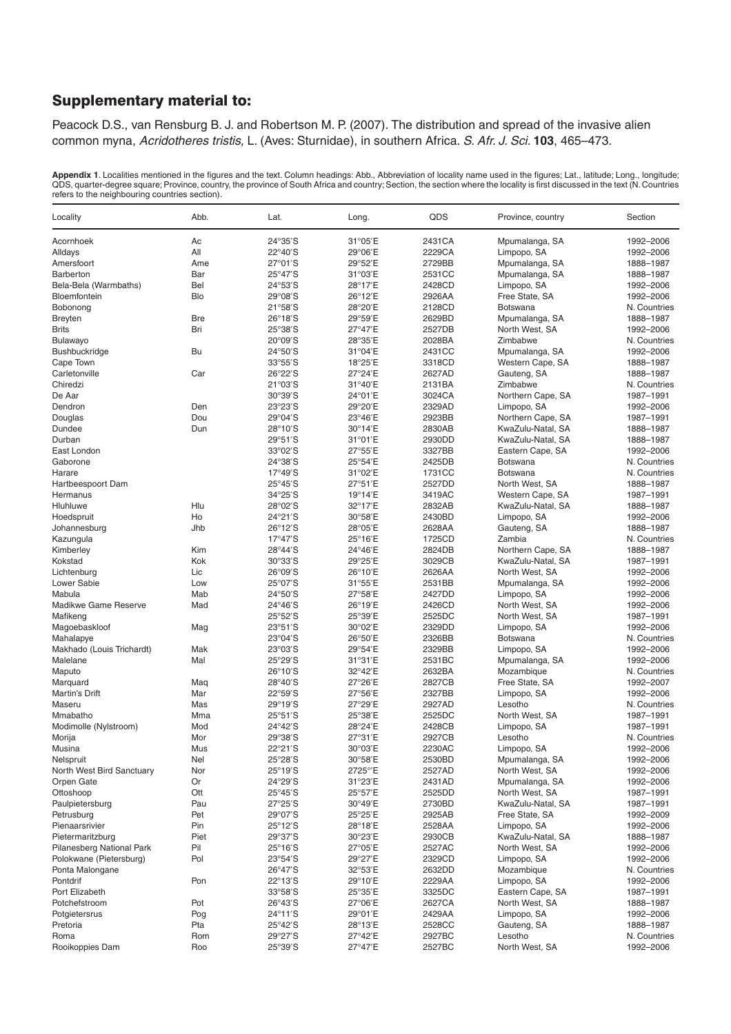## Supplementary material to:

Peacock D.S., van Rensburg B. J. and Robertson M. P. (2007). The distribution and spread of the invasive alien common myna, Acridotheres tristis, L. (Aves: Sturnidae), in southern Africa. S. Afr. J. Sci. **103**, 465–473.

**Appendix 1**. Localities mentioned in the figures and the text. Column headings: Abb., Abbreviation of locality name used in the figures; Lat., latitude; Long., longitude;<br>QDS, quarter-degree square; Province, country, the

| Locality                      | Abb.       | Lat.                      | Long.   | QDS    | Province, country | Section      |
|-------------------------------|------------|---------------------------|---------|--------|-------------------|--------------|
| Acornhoek                     | Ac         | 24°35'S                   | 31°05'E | 2431CA | Mpumalanga, SA    | 1992-2006    |
| Alldays                       | All        | $22^{\circ}40'S$          | 29°06'E | 2229CA | Limpopo, SA       | 1992-2006    |
| Amersfoort                    | Ame        | 27°01'S                   | 29°52'E | 2729BB | Mpumalanga, SA    | 1888-1987    |
| <b>Barberton</b>              | Bar        | $25^{\circ}47'S$          | 31°03'E | 2531CC | Mpumalanga, SA    | 1888-1987    |
| Bela-Bela (Warmbaths)         | Bel        | 24°53'S                   | 28°17'E | 2428CD | Limpopo, SA       | 1992-2006    |
| Bloemfontein                  | Blo        | $29^{\circ}08'S$          | 26°12'E | 2926AA | Free State, SA    | 1992-2006    |
| Bobonong                      |            | $21^{\circ}58^{\prime}S$  | 28°20'E | 2128CD | <b>Botswana</b>   | N. Countries |
| <b>Breyten</b>                | <b>Bre</b> | $26^{\circ}18'S$          | 29°59'E | 2629BD | Mpumalanga, SA    | 1888-1987    |
| <b>Brits</b>                  | Bri        | 25°38'S                   | 27°47'E | 2527DB | North West, SA    | 1992-2006    |
| Bulawayo                      |            | $20^{\circ}09'S$          | 28°35'E | 2028BA | Zimbabwe          | N. Countries |
| <b>Bushbuckridge</b>          | Bu         | $24^{\circ}50^{\prime}$ S | 31°04'E | 2431CC | Mpumalanga, SA    | 1992-2006    |
| Cape Town                     |            | $33^{\circ}55^{\prime}$ S | 18°25'E | 3318CD | Western Cape, SA  | 1888-1987    |
| Carletonville                 | Car        | 26°22'S                   | 27°24'E | 2627AD | Gauteng, SA       | 1888-1987    |
| Chiredzi                      |            | $21^{\circ}03'S$          | 31°40'E | 2131BA | Zimbabwe          | N. Countries |
| De Aar                        |            | 30°39'S                   | 24°01'E | 3024CA | Northern Cape, SA | 1987-1991    |
| Dendron                       | Den        | 23°23'S                   | 29°20'E | 2329AD | Limpopo, SA       | 1992-2006    |
| Douglas                       | Dou        | 29°04'S                   | 23°46'E | 2923BB | Northern Cape, SA | 1987-1991    |
| Dundee                        | Dun        | $28^{\circ}10'S$          | 30°14'E | 2830AB | KwaZulu-Natal, SA | 1888-1987    |
| Durban                        |            | $29^{\circ}51'$ S         | 31°01'E | 2930DD | KwaZulu-Natal, SA | 1888-1987    |
| East London                   |            | 33°02'S                   | 27°55'E | 3327BB | Eastern Cape, SA  | 1992-2006    |
| Gaborone                      |            | 24°38'S                   | 25°54'E | 2425DB | <b>Botswana</b>   | N. Countries |
| Harare                        |            | 17°49'S                   | 31°02'E | 1731CC | <b>Botswana</b>   | N. Countries |
|                               |            | $25^{\circ}45^{\prime}$ S | 27°51'E | 2527DD | North West, SA    | 1888-1987    |
| Hartbeespoort Dam<br>Hermanus |            | 34°25'S                   |         | 3419AC |                   |              |
|                               |            |                           | 19°14'E |        | Western Cape, SA  | 1987-1991    |
| Hluhluwe                      | Hlu        | 28°02'S                   | 32°17'E | 2832AB | KwaZulu-Natal, SA | 1888-1987    |
| Hoedspruit                    | Ho         | 24°21'S                   | 30°58'E | 2430BD | Limpopo, SA       | 1992-2006    |
| Johannesburg                  | Jhb        | 26°12'S                   | 28°05'E | 2628AA | Gauteng, SA       | 1888-1987    |
| Kazungula                     |            | 17°47'S                   | 25°16'E | 1725CD | Zambia            | N. Countries |
| Kimberley                     | Kim        | 28°44'S                   | 24°46'E | 2824DB | Northern Cape, SA | 1888-1987    |
| Kokstad                       | Kok        | 30°33'S                   | 29°25'E | 3029CB | KwaZulu-Natal, SA | 1987-1991    |
| Lichtenburg                   | Lic        | 26°09'S                   | 26°10'E | 2626AA | North West, SA    | 1992-2006    |
| Lower Sabie                   | Low        | 25°07'S                   | 31°55'E | 2531BB | Mpumalanga, SA    | 1992-2006    |
| Mabula                        | Mab        | 24°50'S                   | 27°58'E | 2427DD | Limpopo, SA       | 1992-2006    |
| Madikwe Game Reserve          | Mad        | $24^{\circ}46^{\prime}S$  | 26°19'E | 2426CD | North West, SA    | 1992-2006    |
| Mafikeng                      |            | 25°52'S                   | 25°39'E | 2525DC | North West, SA    | 1987-1991    |
| Magoebaskloof                 | Mag        | 23°51'S                   | 30°02'E | 2329DD | Limpopo, SA       | 1992-2006    |
| Mahalapye                     |            | $23^{\circ}04'S$          | 26°50'E | 2326BB | <b>Botswana</b>   | N. Countries |
| Makhado (Louis Trichardt)     | Mak        | $23^{\circ}03'S$          | 29°54'E | 2329BB | Limpopo, SA       | 1992-2006    |
| Malelane                      | Mal        | 25°29'S                   | 31°31'E | 2531BC | Mpumalanga, SA    | 1992-2006    |
| Maputo                        |            | $26^{\circ}10'S$          | 32°42'E | 2632BA | Mozambique        | N. Countries |
| Marguard                      | Maq        | $28^{\circ}40^{\prime}$ S | 27°26'E | 2827CB | Free State, SA    | 1992-2007    |
| Martin's Drift                | Mar        | 22°59'S                   | 27°56'E | 2327BB | Limpopo, SA       | 1992-2006    |
| Maseru                        | Mas        | 29°19'S                   | 27°29'E | 2927AD | Lesotho           | N. Countries |
| Mmabatho                      | Mma        | $25^{\circ}51^{\prime}$ S | 25°38'E | 2525DC | North West, SA    | 1987-1991    |
| Modimolle (Nylstroom)         | Mod        | 24°42'S                   | 28°24'E | 2428CB | Limpopo, SA       | 1987-1991    |
| Morija                        | Mor        | 29°38'S                   | 27°31'E | 2927CB | Lesotho           | N. Countries |
| Musina                        | Mus        | 22°21'S                   | 30°03'E | 2230AC | Limpopo, SA       | 1992-2006    |
| Nelspruit                     | Nel        | 25°28′S                   | 30°58'E | 2530BD | Mpumalanga, SA    | 1992-2006    |
| North West Bird Sanctuary     | Nor        | 25°19'S                   | 2725°/E | 2527AD | North West, SA    | 1992-2006    |
| Orpen Gate                    | Or         | 24°29'S                   | 31°23'E | 2431AD | Mpumalanga, SA    | 1992-2006    |
| Ottoshoop                     | Ott        | $25^{\circ}45^{\prime}$ S | 25°57'E | 2525DD | North West, SA    | 1987-1991    |
| Paulpietersburg               | Pau        | 27°25'S                   | 30°49'E | 2730BD | KwaZulu-Natal, SA | 1987-1991    |
| Petrusburg                    | Pet        | 29°07'S                   | 25°25'E | 2925AB | Free State, SA    | 1992-2009    |
| Pienaarsrivier                | Pin        | $25^{\circ}12'S$          | 28°18'E | 2528AA | Limpopo, SA       | 1992-2006    |
| Pietermaritzburg              | Piet       | 29°37'S                   | 30°23'E | 2930CB | KwaZulu-Natal, SA | 1888-1987    |
| Pilanesberg National Park     | Pil        | $25^{\circ}16'S$          | 27°05'E | 2527AC | North West, SA    | 1992-2006    |
| Polokwane (Pietersburg)       | Pol        | $23^{\circ}54'S$          | 29°27'E | 2329CD | Limpopo, SA       | 1992-2006    |
| Ponta Malongane               |            | 26°47'S                   | 32°53'E | 2632DD | Mozambique        | N. Countries |
| Pontdrif                      | Pon        | $22^{\circ}13'S$          | 29°10'E | 2229AA | Limpopo, SA       | 1992-2006    |
| Port Elizabeth                |            | $33^{\circ}58'$ S         | 25°35'E | 3325DC | Eastern Cape, SA  | 1987-1991    |
| Potchefstroom                 | Pot        | $26^{\circ}43'$ S         | 27°06'E | 2627CA | North West, SA    | 1888-1987    |
| Potgietersrus                 | Pog        | $24^{\circ}11'S$          | 29°01'E | 2429AA | Limpopo, SA       | 1992-2006    |
| Pretoria                      | Pta        | $25^{\circ}42'S$          | 28°13'E | 2528CC | Gauteng, SA       | 1888-1987    |
| Roma                          | Rom        | 29°27'S                   | 27°42'E | 2927BC | Lesotho           | N. Countries |
| Rooikoppies Dam               | Roo        | 25°39′S                   | 27°47'E | 2527BC | North West, SA    | 1992-2006    |
|                               |            |                           |         |        |                   |              |